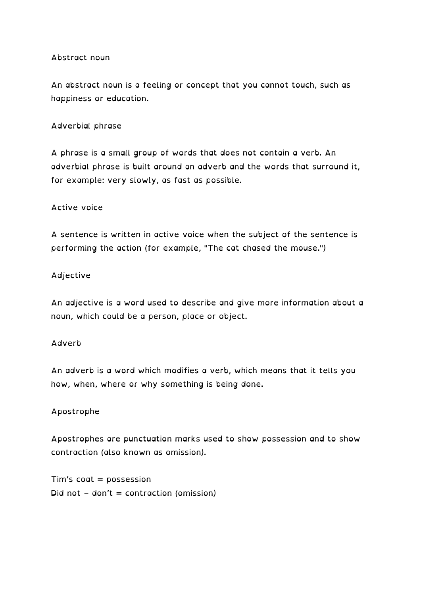## Abstract noun

An abstract noun is a feeling or concept that you cannot touch, such as happiness or education.

## Adverbial phrase

A phrase is a small group of words that does not contain a verb. An adverbial phrase is built around an adverb and the words that surround it, for example: very slowly, as fast as possible.

#### Active voice

A sentence is written in active voice when the subject of the sentence is performing the action (for example, "The cat chased the mouse.")

#### Adjective

An adjective is a word used to describe and give more information about a noun, which could be a person, place or object.

#### Adverb

An adverb is a word which modifies a verb, which means that it tells you how, when, where or why something is being done.

## Apostrophe

Apostrophes are punctuation marks used to show possession and to show contraction (also known as omission).

Tim's coat = possession Did not – don't = contraction (omission)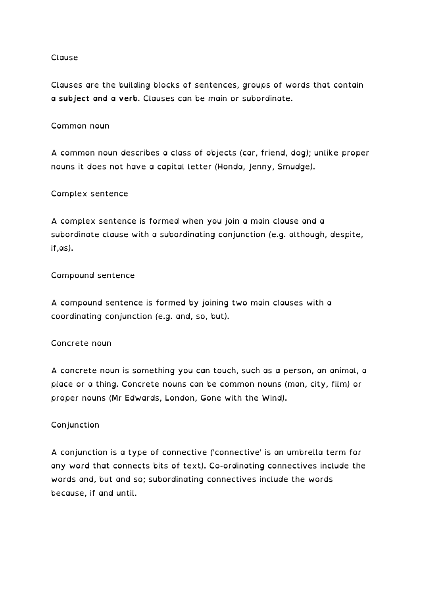## Clause

Clauses are the building blocks of sentences, groups of words that contain **a subject and a verb**. Clauses can be main or subordinate.

## Common noun

A common noun describes a class of objects (car, friend, dog); unlike proper nouns it does not have a capital letter (Honda, Jenny, Smudge).

#### Complex sentence

A complex sentence is formed when you join a main clause and a subordinate clause with a subordinating conjunction (e.g. although, despite, if,as).

## Compound sentence

A compound sentence is formed by joining two main clauses with a coordinating conjunction (e.g. and, so, but).

#### Concrete noun

A concrete noun is something you can touch, such as a person, an animal, a place or a thing. Concrete nouns can be common nouns (man, city, film) or proper nouns (Mr Edwards, London, Gone with the Wind).

## Conjunction

A conjunction is a type of connective ('connective' is an umbrella term for any word that connects bits of text). Co-ordinating connectives include the words and, but and so; subordinating connectives include the words because, if and until.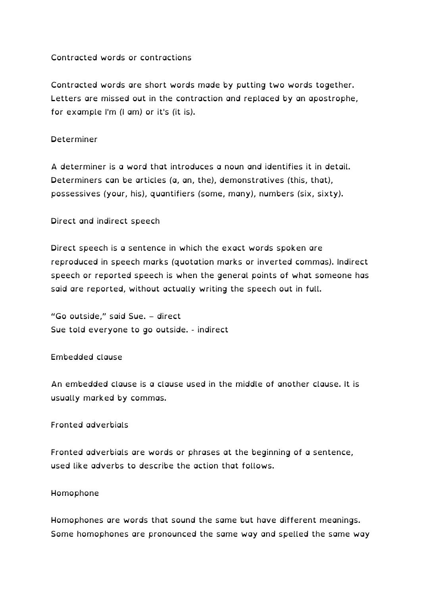# Contracted words or contractions

Contracted words are short words made by putting two words together. Letters are missed out in the contraction and replaced by an apostrophe, for example I'm (I am) or it's (it is).

## Determiner

A determiner is a word that introduces a noun and identifies it in detail. Determiners can be articles (a, an, the), demonstratives (this, that), possessives (your, his), quantifiers (some, many), numbers (six, sixty).

Direct and indirect speech

Direct speech is a sentence in which the exact words spoken are reproduced in speech marks (quotation marks or inverted commas). Indirect speech or reported speech is when the general points of what someone has said are reported, without actually writing the speech out in full.

"Go outside," said Sue. – direct Sue told everyone to go outside. - indirect

#### Embedded clause

An embedded clause is a clause used in the middle of another clause. It is usually marked by commas.

## Fronted adverbials

Fronted adverbials are words or phrases at the beginning of a sentence, used like adverbs to describe the action that follows.

#### Homophone

Homophones are words that sound the same but have different meanings. Some homophones are pronounced the same way and spelled the same way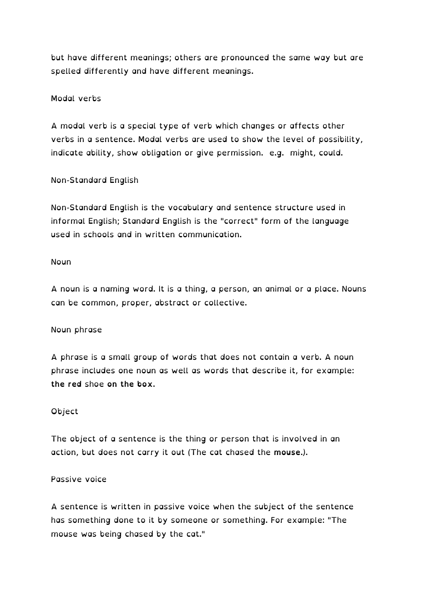but have different meanings; others are pronounced the same way but are spelled differently and have different meanings.

# Modal verbs

A modal verb is a special type of verb which changes or affects other verbs in a sentence. Modal verbs are used to show the level of possibility, indicate ability, show obligation or give permission. e.g. might, could.

# Non-Standard English

Non-Standard English is the vocabulary and sentence structure used in informal English; Standard English is the "correct" form of the language used in schools and in written communication.

#### Noun

A noun is a naming word. It is a thing, a person, an animal or a place. Nouns can be common, proper, abstract or collective.

## Noun phrase

A phrase is a small group of words that does not contain a verb. A noun phrase includes one noun as well as words that describe it, for example: **the red** shoe **on the box**.

## Object

The object of a sentence is the thing or person that is involved in an action, but does not carry it out (The cat chased the **mouse**.).

## Passive voice

A sentence is written in passive voice when the subject of the sentence has something done to it by someone or something. For example: "The mouse was being chased by the cat."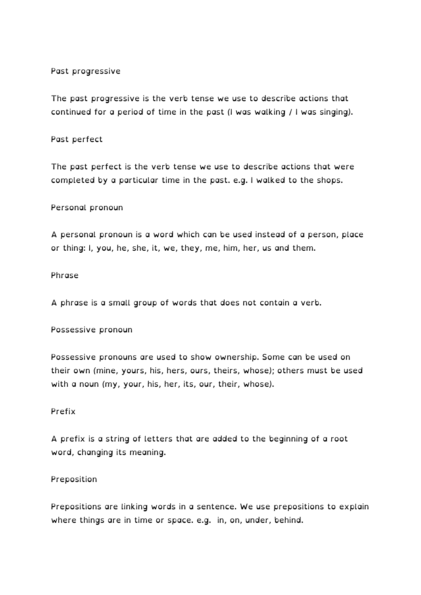## Past progressive

The past progressive is the verb tense we use to describe actions that continued for a period of time in the past (I was walking / I was singing).

#### Past perfect

The past perfect is the verb tense we use to describe actions that were completed by a particular time in the past. e.g. I walked to the shops.

#### Personal pronoun

A personal pronoun is a word which can be used instead of a person, place or thing: I, you, he, she, it, we, they, me, him, her, us and them.

## Phrase

A phrase is a small group of words that does not contain a verb.

#### Possessive pronoun

Possessive pronouns are used to show ownership. Some can be used on their own (mine, yours, his, hers, ours, theirs, whose); others must be used with a noun (my, your, his, her, its, our, their, whose).

#### Prefix

A prefix is a string of letters that are added to the beginning of a root word, changing its meaning.

## Preposition

Prepositions are linking words in a sentence. We use prepositions to explain where things are in time or space. e.g. in, on, under, behind.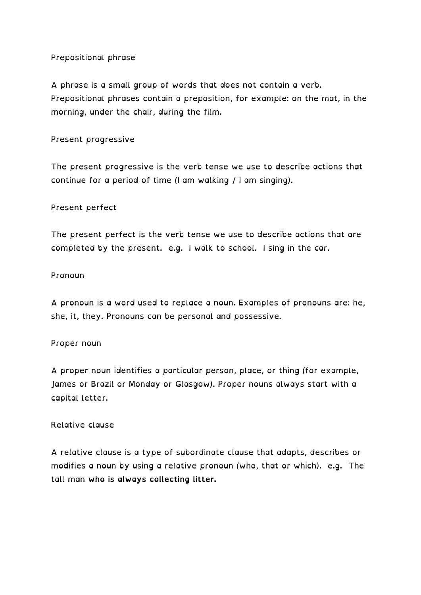# Prepositional phrase

A phrase is a small group of words that does not contain a verb. Prepositional phrases contain a preposition, for example: on the mat, in the morning, under the chair, during the film.

Present progressive

The present progressive is the verb tense we use to describe actions that continue for a period of time (I am walking / I am singing).

# Present perfect

The present perfect is the verb tense we use to describe actions that are completed by the present. e.g. I walk to school. I sing in the car.

## Pronoun

A pronoun is a word used to replace a noun. Examples of pronouns are: he, she, it, they. Pronouns can be personal and possessive.

## Proper noun

A proper noun identifies a particular person, place, or thing (for example, James or Brazil or Monday or Glasgow). Proper nouns always start with a capital letter.

## Relative clause

A relative clause is a type of subordinate clause that adapts, describes or modifies a noun by using a relative pronoun (who, that or which). e.g. The tall man **who is always collecting litter.**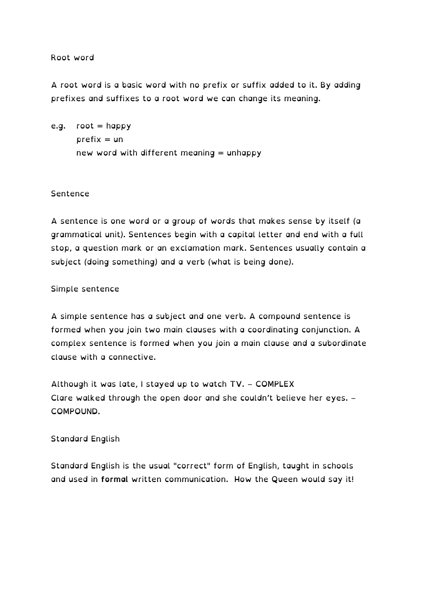#### Root word

A root word is a basic word with no prefix or suffix added to it. By adding prefixes and suffixes to a root word we can change its meaning.

e.g.  $root = happy$  $prefix = un$ new word with different meaning = unhappy

#### Sentence

A sentence is one word or a group of words that makes sense by itself (a grammatical unit). Sentences begin with a capital letter and end with a full stop, a question mark or an exclamation mark. Sentences usually contain a subject (doing something) and a verb (what is being done).

#### Simple sentence

A simple sentence has a subject and one verb. A compound sentence is formed when you join two main clauses with a coordinating conjunction. A complex sentence is formed when you join a main clause and a subordinate clause with a connective.

Although it was late, I stayed up to watch TV. – COMPLEX Clare walked through the open door and she couldn't believe her eyes. – COMPOUND.

## Standard English

Standard English is the usual "correct" form of English, taught in schools and used in **formal** written communication. How the Queen would say it!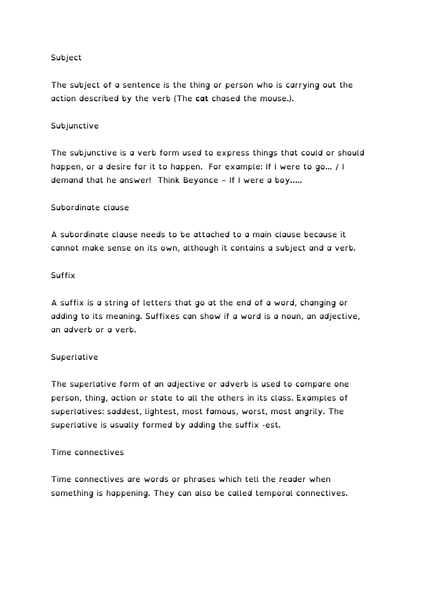# Subject

The subject of a sentence is the thing or person who is carrying out the action described by the verb (The **cat** chased the mouse.).

# Subjunctive

The subjunctive is a verb form used to express things that could or should happen, or a desire for it to happen. For example: If I were to go... / I demand that he answer! Think Beyonce – If I were a boy…..

## Subordinate clause

A subordinate clause needs to be attached to a main clause because it cannot make sense on its own, although it contains a subject and a verb.

## Suffix

A suffix is a string of letters that go at the end of a word, changing or adding to its meaning. Suffixes can show if a word is a noun, an adjective, an adverb or a verb.

## Superlative

The superlative form of an adjective or adverb is used to compare one person, thing, action or state to all the others in its class. Examples of superlatives: saddest, lightest, most famous, worst, most angrily. The superlative is usually formed by adding the suffix -est.

## Time connectives

Time connectives are words or phrases which tell the reader when something is happening. They can also be called temporal connectives.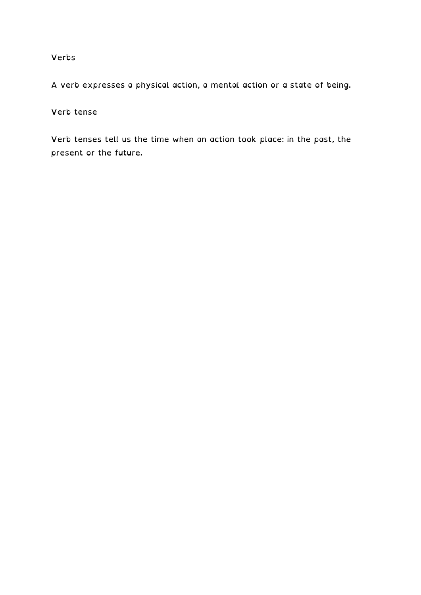## Verbs

A verb expresses a physical action, a mental action or a state of being.

Verb tense

Verb tenses tell us the time when an action took place: in the past, the present or the future.